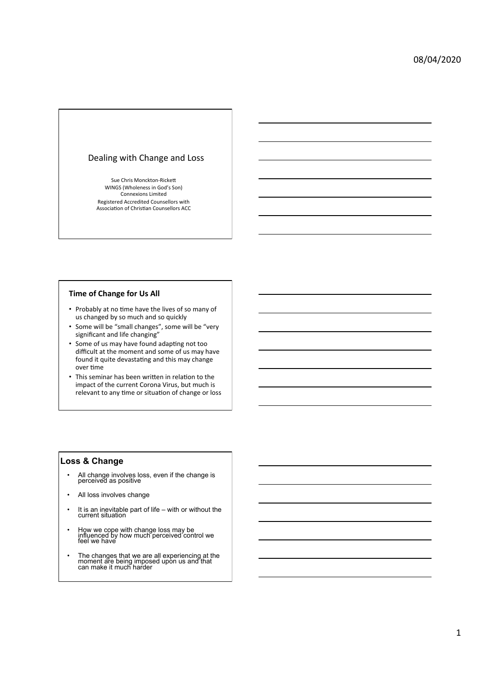### Dealing with Change and Loss

Sue Chris Monckton-Rickett WINGS (Wholeness in God's Son) Connexions Limited Registered Accredited Counsellors with<br>Association of Christian Counsellors ACC

# **Time of Change for Us All**

- Probably at no time have the lives of so many of us changed by so much and so quickly
- Some will be "small changes", some will be "very significant and life changing'
- Some of us may have found adapting not too difficult at the moment and some of us may have found it quite devastating and this may change over time
- This seminar has been written in relation to the impact of the current Corona Virus, but much is relevant to any time or situation of change or loss

### **Loss & Change**

- All change involves loss, even if the change is perceived as positive
- All loss involves change
- It is an inevitable part of life with or without the current situation
- How we cope with change loss may be influenced by how much perceived control we feel we have
- The changes that we are all experiencing at the moment are being imposed upon us and that can make it much harder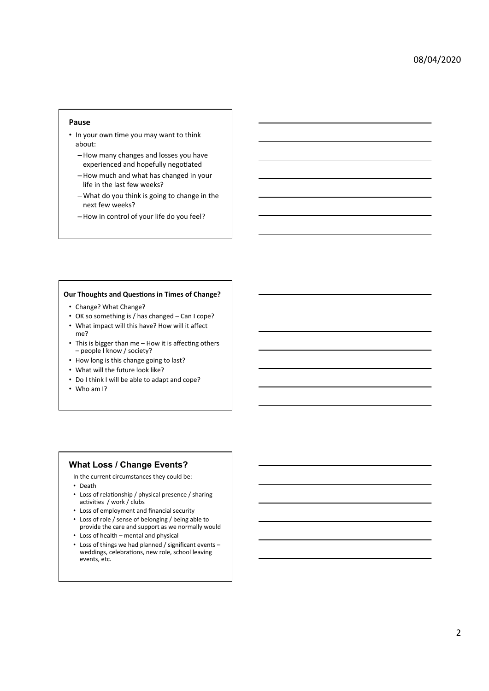### **Pause**

- In your own time you may want to think about:
	- –How many changes and losses you have experienced and hopefully negotiated
	- –How much and what has changed in your life in the last few weeks?
	- $-$  What do you think is going to change in the next few weeks?
	- How in control of your life do you feel?

#### **Our Thoughts and Questions in Times of Change?**

- Change? What Change?
- OK so something is / has changed Can I cope?
- What impact will this have? How will it affect
- me? • This is bigger than me  $-$  How it is affecting others - people I know / society?
- How long is this change going to last?
- What will the future look like?
- Do I think I will be able to adapt and cope?
- Who am I?

### **What Loss / Change Events?**

- In the current circumstances they could be:
- Death
- Loss of relationship / physical presence / sharing activities / work / clubs
- Loss of employment and financial security
- Loss of role / sense of belonging / being able to provide the care and support as we normally would
- $\cdot$  Loss of health mental and physical
- Loss of things we had planned / significant events weddings, celebrations, new role, school leaving events, etc.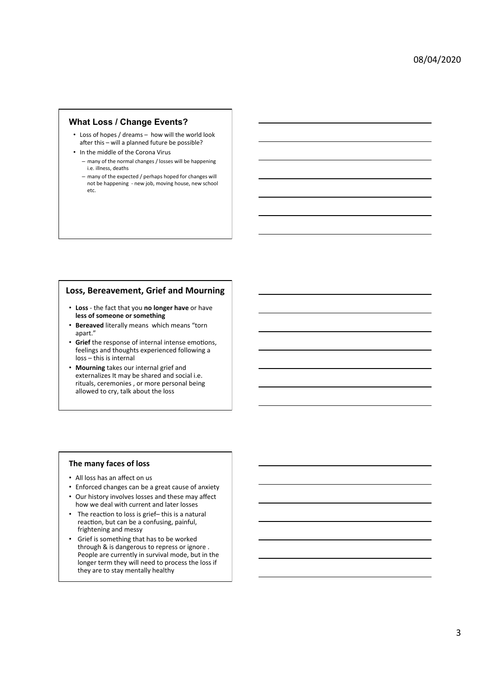### **What Loss / Change Events?**

- Loss of hopes / dreams how will the world look after this – will a planned future be possible?
- In the middle of the Corona Virus - many of the normal changes / losses will be happening i.e. illness, deaths
	- many of the expected / perhaps hoped for changes will not be happening - new job, moving house, new school etc.

## **Loss, Bereavement, Grief and Mourning**

- Loss the fact that you no longer have or have less of someone or something
- Bereaved literally means which means "torn apart."
- Grief the response of internal intense emotions, feelings and thoughts experienced following a loss - this is internal
- Mourning takes our internal grief and externalizes It may be shared and social i.e. rituals, ceremonies, or more personal being allowed to cry, talk about the loss

### **The many faces of loss**

- All loss has an affect on us
- Enforced changes can be a great cause of anxiety
- Our history involves losses and these may affect how we deal with current and later losses
- The reaction to loss is grief- this is a natural reaction, but can be a confusing, painful, frightening and messy
- Grief is something that has to be worked through & is dangerous to repress or ignore. People are currently in survival mode, but in the longer term they will need to process the loss if they are to stay mentally healthy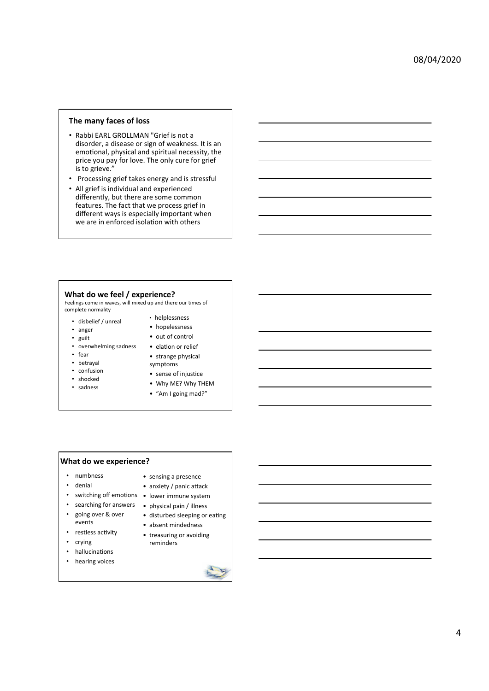### **The many faces of loss**

- Rabbi EARL GROLLMAN "Grief is not a disorder, a disease or sign of weakness. It is an emotional, physical and spiritual necessity, the price you pay for love. The only cure for grief  $\overline{\phantom{a}}$  is to grieve."
- Processing grief takes energy and is stressful
- All grief is individual and experienced differently, but there are some common features. The fact that we process grief in different ways is especially important when we are in enforced isolation with others

#### **What do we feel / experience?**

Feelings come in waves, will mixed up and there our times of complete normality • helplessness 

- disbelief / unreal • anger
- hopelessness
	- out of control
- overwhelming sadness • elation or relief
- fear

• guilt 

- betrayal
- confusion
- shocked
- sadness
- strange physical symptoms
- sense of injustice
- Why ME? Why THEM
- "Am I going mad?"

# **What do we experience?**

- numbness
- denial
- switching off emotions lower immune system
- searching for answers physical pain / illness
- going over & over
	- disturbed sleeping or eating

• sensing a presence • anxiety / panic attack

- absent mindedness
- treasuring or avoiding reminders
- hallucinations

events • restless activity • crying 

- hearing voices
- 

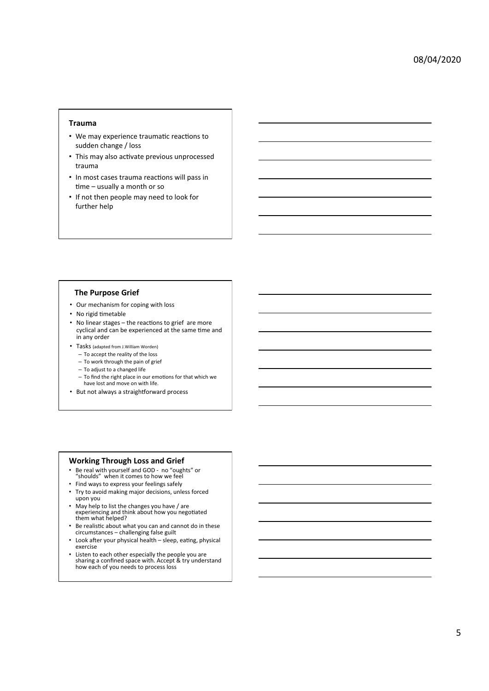### **Trauma**

- We may experience traumatic reactions to sudden change / loss
- This may also activate previous unprocessed trauma
- In most cases trauma reactions will pass in  $time - usually$  a month or so
- If not then people may need to look for further help

#### **The Purpose Grief**

- Our mechanism for coping with loss
- No rigid timetable
- No linear stages the reactions to grief are more cyclical and can be experienced at the same time and in any order
- Tasks (adapted from J.William Worden)
	- To accept the reality of the loss
	- To work through the pain of grief
	- To adjust to a changed life
	- $-$  To find the right place in our emotions for that which we have lost and move on with life.
- But not always a straightforward process

#### **Working Through Loss and Grief**

- Be real with yourself and GOD no "oughts" or "shoulds" when it comes to how we feel
- 
- Find ways to express your feelings safely
- Try to avoid making major decisions, unless forced upon you
- May help to list the changes you have / are experiencing and think about how you negotiated<br>them what helped?
- Be realistic about what you can and cannot do in these circumstances challenging false guilt
- Look after your physical health sleep, eating, physical exercise
- Listen to each other especially the people you are<br>
sharing a confined space with. Accept & try understand how each of you needs to process loss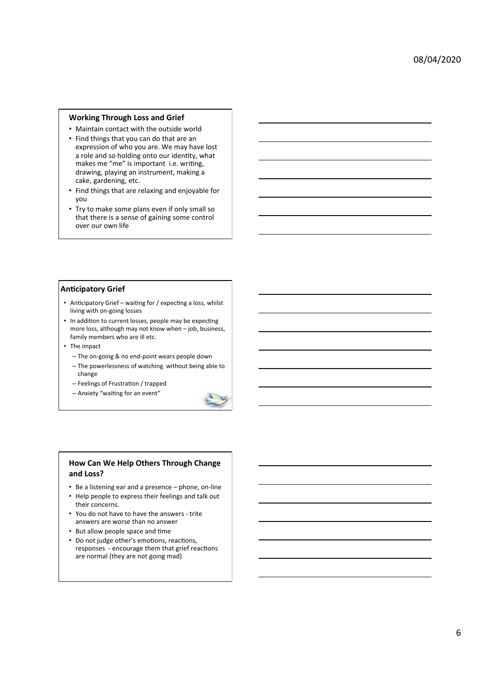### **Working Through Loss and Grief**

- Maintain contact with the outside world
- Find things that you can do that are an expression of who you are. We may have lost a role and so holding onto our identity, what makes me "me" is important i.e. writing, drawing, playing an instrument, making a cake, gardening, etc.
- Find things that are relaxing and enjoyable for you
- Try to make some plans even if only small so that there is a sense of gaining some control over our own life

#### **Anticipatory Grief**

- Anticipatory Grief waiting for / expecting a loss, whilst living with on-going losses
- In addition to current losses, people may be expecting more loss, although may not know when  $-$  job, business, family members who are ill etc.
- The impact
	- The on-going & no end-point wears people down
	- $-$  The powerlessness of watching without being able to change
	- $-$  Feelings of Frustration / trapped
	- $-$  Anxiety "waiting for an event"



### **How Can We Help Others Through Change** and Loss?

- Be a listening ear and a presence phone, on-line
- Help people to express their feelings and talk out their concerns.
- You do not have to have the answers trite answers are worse than no answer
- But allow people space and time
- Do not judge other's emotions, reactions, responses - encourage them that grief reactions are normal (they are not going mad)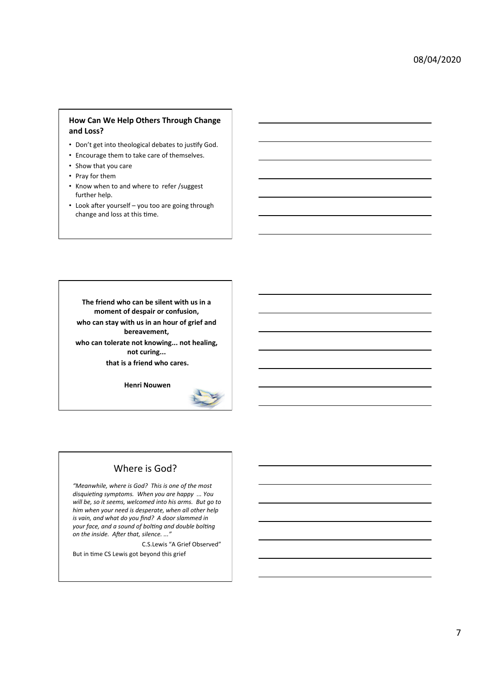## **How Can We Help Others Through Change** and Loss?

- Don't get into theological debates to justify God.
- Encourage them to take care of themselves.
- Show that you care
- Pray for them
- Know when to and where to refer /suggest further help.
- Look after yourself you too are going through change and loss at this time.

The friend who can be silent with us in a moment of despair or confusion, who can stay with us in an hour of grief and bereavement,

who can tolerate not knowing... not healing, not curing...

that is a friend who cares.

**Henri Nouwen**



# Where is God?

"Meanwhile, where is God? This is one of the most disquieting symptoms. When you are happy ... You will be, so it seems, welcomed into his arms. But go to him when your need is desperate, when all other help *is* vain, and what do you find? A door slammed in *your face, and a sound of bolting and double bolting* on the inside. After that, silence. ..."

C.S.Lewis "A Grief Observed"

But in time CS Lewis got beyond this grief